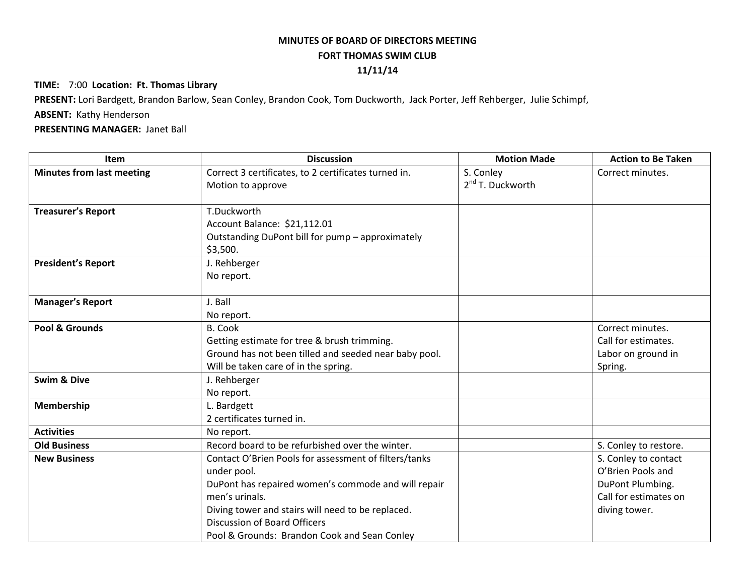## **MINUTES OF BOARD OF DIRECTORS MEETING FORT THOMAS SWIM CLUB 11/11/14**

## **TIME:** 7:00 **Location: Ft. Thomas Library**

**PRESENT:** Lori Bardgett, Brandon Barlow, Sean Conley, Brandon Cook, Tom Duckworth, Jack Porter, Jeff Rehberger, Julie Schimpf,

## **ABSENT:** Kathy Henderson

## **PRESENTING MANAGER:** Janet Ball

| <b>Item</b>                      | <b>Discussion</b>                                     | <b>Motion Made</b>    | <b>Action to Be Taken</b> |
|----------------------------------|-------------------------------------------------------|-----------------------|---------------------------|
| <b>Minutes from last meeting</b> | Correct 3 certificates, to 2 certificates turned in.  | S. Conley             | Correct minutes.          |
|                                  | Motion to approve                                     | $2^{nd}$ T. Duckworth |                           |
| <b>Treasurer's Report</b>        | T.Duckworth                                           |                       |                           |
|                                  | Account Balance: \$21,112.01                          |                       |                           |
|                                  | Outstanding DuPont bill for pump - approximately      |                       |                           |
|                                  | \$3,500.                                              |                       |                           |
| <b>President's Report</b>        | J. Rehberger                                          |                       |                           |
|                                  | No report.                                            |                       |                           |
| <b>Manager's Report</b>          | J. Ball                                               |                       |                           |
|                                  | No report.                                            |                       |                           |
| Pool & Grounds                   | <b>B. Cook</b>                                        |                       | Correct minutes.          |
|                                  | Getting estimate for tree & brush trimming.           |                       | Call for estimates.       |
|                                  | Ground has not been tilled and seeded near baby pool. |                       | Labor on ground in        |
|                                  | Will be taken care of in the spring.                  |                       | Spring.                   |
| <b>Swim &amp; Dive</b>           | J. Rehberger                                          |                       |                           |
|                                  | No report.                                            |                       |                           |
| Membership                       | L. Bardgett                                           |                       |                           |
|                                  | 2 certificates turned in.                             |                       |                           |
| <b>Activities</b>                | No report.                                            |                       |                           |
| <b>Old Business</b>              | Record board to be refurbished over the winter.       |                       | S. Conley to restore.     |
| <b>New Business</b>              | Contact O'Brien Pools for assessment of filters/tanks |                       | S. Conley to contact      |
|                                  | under pool.                                           |                       | O'Brien Pools and         |
|                                  | DuPont has repaired women's commode and will repair   |                       | DuPont Plumbing.          |
|                                  | men's urinals.                                        |                       | Call for estimates on     |
|                                  | Diving tower and stairs will need to be replaced.     |                       | diving tower.             |
|                                  | <b>Discussion of Board Officers</b>                   |                       |                           |
|                                  | Pool & Grounds: Brandon Cook and Sean Conley          |                       |                           |